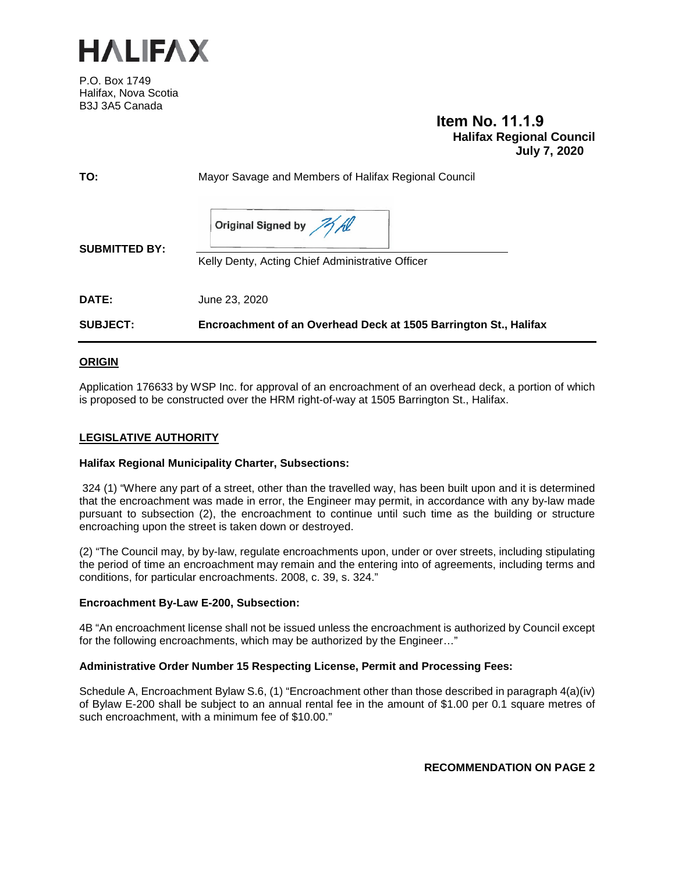

P.O. Box 1749 Halifax, Nova Scotia B3J 3A5 Canada

# **Item No. 11.1.9 Halifax Regional Council July 7, 2020**

| TO:                  | Mayor Savage and Members of Halifax Regional Council                       |
|----------------------|----------------------------------------------------------------------------|
| <b>SUBMITTED BY:</b> | Original Signed by All<br>Kelly Denty, Acting Chief Administrative Officer |
| DATE:                | June 23, 2020                                                              |
| <b>SUBJECT:</b>      | Encroachment of an Overhead Deck at 1505 Barrington St., Halifax           |

#### **ORIGIN**

Application 176633 by WSP Inc. for approval of an encroachment of an overhead deck, a portion of which is proposed to be constructed over the HRM right-of-way at 1505 Barrington St., Halifax.

#### **LEGISLATIVE AUTHORITY**

#### **Halifax Regional Municipality Charter, Subsections:**

324 (1) "Where any part of a street, other than the travelled way, has been built upon and it is determined that the encroachment was made in error, the Engineer may permit, in accordance with any by-law made pursuant to subsection (2), the encroachment to continue until such time as the building or structure encroaching upon the street is taken down or destroyed.

(2) "The Council may, by by-law, regulate encroachments upon, under or over streets, including stipulating the period of time an encroachment may remain and the entering into of agreements, including terms and conditions, for particular encroachments. 2008, c. 39, s. 324."

#### **Encroachment By-Law E-200, Subsection:**

4B "An encroachment license shall not be issued unless the encroachment is authorized by Council except for the following encroachments, which may be authorized by the Engineer…"

#### **Administrative Order Number 15 Respecting License, Permit and Processing Fees:**

Schedule A, Encroachment Bylaw S.6, (1) "Encroachment other than those described in paragraph 4(a)(iv) of Bylaw E-200 shall be subject to an annual rental fee in the amount of \$1.00 per 0.1 square metres of such encroachment, with a minimum fee of \$10.00."

**RECOMMENDATION ON PAGE 2**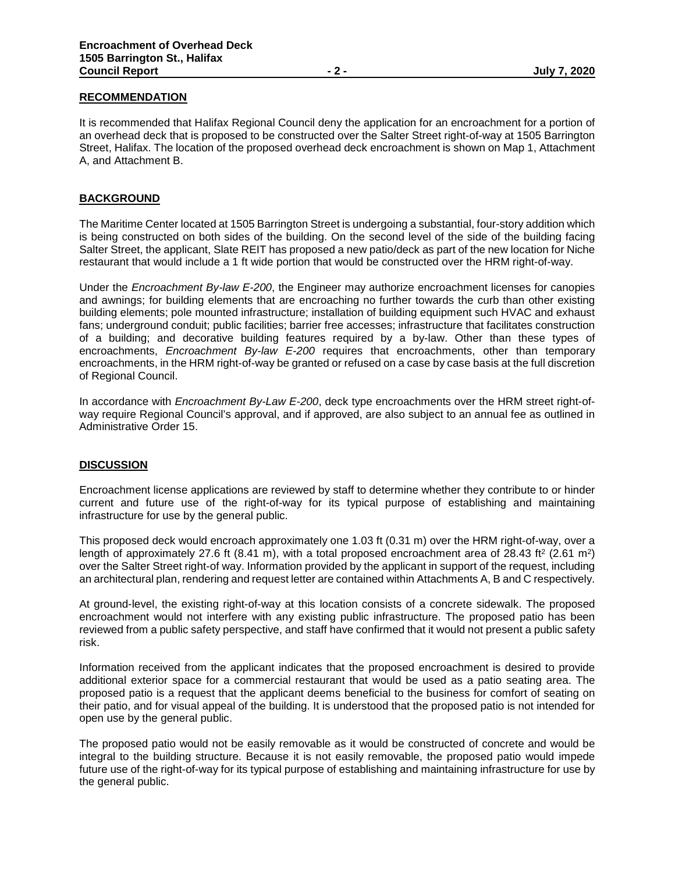### **RECOMMENDATION**

It is recommended that Halifax Regional Council deny the application for an encroachment for a portion of an overhead deck that is proposed to be constructed over the Salter Street right-of-way at 1505 Barrington Street, Halifax. The location of the proposed overhead deck encroachment is shown on Map 1, Attachment A, and Attachment B.

#### **BACKGROUND**

The Maritime Center located at 1505 Barrington Street is undergoing a substantial, four-story addition which is being constructed on both sides of the building. On the second level of the side of the building facing Salter Street, the applicant, Slate REIT has proposed a new patio/deck as part of the new location for Niche restaurant that would include a 1 ft wide portion that would be constructed over the HRM right-of-way.

Under the *Encroachment By-law E-200*, the Engineer may authorize encroachment licenses for canopies and awnings; for building elements that are encroaching no further towards the curb than other existing building elements; pole mounted infrastructure; installation of building equipment such HVAC and exhaust fans; underground conduit; public facilities; barrier free accesses; infrastructure that facilitates construction of a building; and decorative building features required by a by-law. Other than these types of encroachments, *Encroachment By-law E-200* requires that encroachments, other than temporary encroachments, in the HRM right-of-way be granted or refused on a case by case basis at the full discretion of Regional Council.

In accordance with *Encroachment By-Law E-200*, deck type encroachments over the HRM street right-ofway require Regional Council's approval, and if approved, are also subject to an annual fee as outlined in Administrative Order 15.

#### **DISCUSSION**

Encroachment license applications are reviewed by staff to determine whether they contribute to or hinder current and future use of the right-of-way for its typical purpose of establishing and maintaining infrastructure for use by the general public.

This proposed deck would encroach approximately one 1.03 ft (0.31 m) over the HRM right-of-way, over a length of approximately 27.6 ft (8.41 m), with a total proposed encroachment area of 28.43 ft<sup>2</sup> (2.61 m<sup>2</sup>) over the Salter Street right-of way. Information provided by the applicant in support of the request, including an architectural plan, rendering and request letter are contained within Attachments A, B and C respectively.

At ground-level, the existing right-of-way at this location consists of a concrete sidewalk. The proposed encroachment would not interfere with any existing public infrastructure. The proposed patio has been reviewed from a public safety perspective, and staff have confirmed that it would not present a public safety risk.

Information received from the applicant indicates that the proposed encroachment is desired to provide additional exterior space for a commercial restaurant that would be used as a patio seating area. The proposed patio is a request that the applicant deems beneficial to the business for comfort of seating on their patio, and for visual appeal of the building. It is understood that the proposed patio is not intended for open use by the general public.

The proposed patio would not be easily removable as it would be constructed of concrete and would be integral to the building structure. Because it is not easily removable, the proposed patio would impede future use of the right-of-way for its typical purpose of establishing and maintaining infrastructure for use by the general public.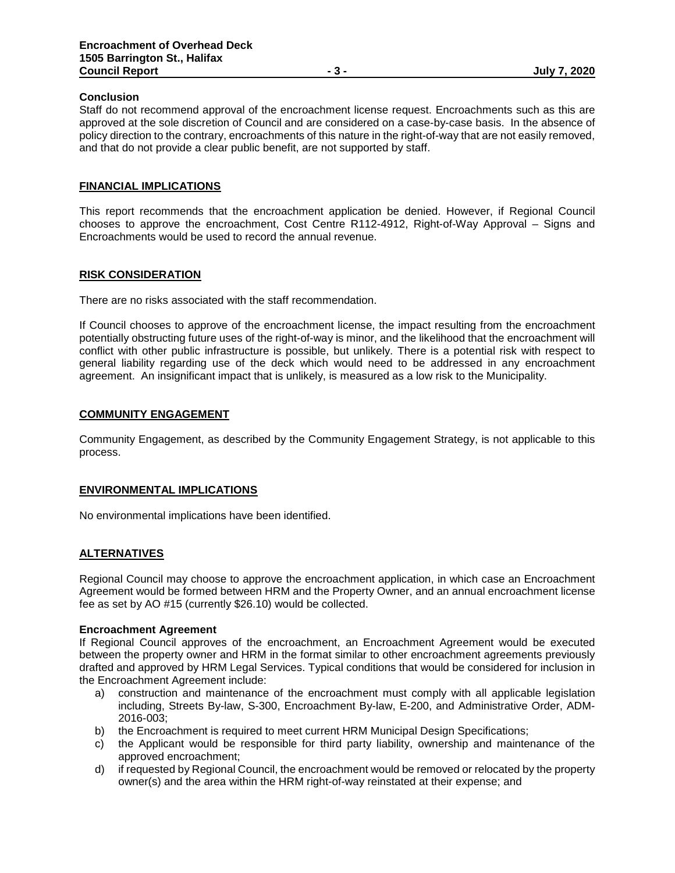#### **Conclusion**

Staff do not recommend approval of the encroachment license request. Encroachments such as this are approved at the sole discretion of Council and are considered on a case-by-case basis. In the absence of policy direction to the contrary, encroachments of this nature in the right-of-way that are not easily removed, and that do not provide a clear public benefit, are not supported by staff.

#### **FINANCIAL IMPLICATIONS**

This report recommends that the encroachment application be denied. However, if Regional Council chooses to approve the encroachment, Cost Centre R112-4912, Right-of-Way Approval – Signs and Encroachments would be used to record the annual revenue.

#### **RISK CONSIDERATION**

There are no risks associated with the staff recommendation.

If Council chooses to approve of the encroachment license, the impact resulting from the encroachment potentially obstructing future uses of the right-of-way is minor, and the likelihood that the encroachment will conflict with other public infrastructure is possible, but unlikely. There is a potential risk with respect to general liability regarding use of the deck which would need to be addressed in any encroachment agreement. An insignificant impact that is unlikely, is measured as a low risk to the Municipality.

#### **COMMUNITY ENGAGEMENT**

Community Engagement, as described by the Community Engagement Strategy, is not applicable to this process.

#### **ENVIRONMENTAL IMPLICATIONS**

No environmental implications have been identified.

#### **ALTERNATIVES**

Regional Council may choose to approve the encroachment application, in which case an Encroachment Agreement would be formed between HRM and the Property Owner, and an annual encroachment license fee as set by AO #15 (currently \$26.10) would be collected.

#### **Encroachment Agreement**

If Regional Council approves of the encroachment, an Encroachment Agreement would be executed between the property owner and HRM in the format similar to other encroachment agreements previously drafted and approved by HRM Legal Services. Typical conditions that would be considered for inclusion in the Encroachment Agreement include:

- a) construction and maintenance of the encroachment must comply with all applicable legislation including, Streets By-law, S-300, Encroachment By-law, E-200, and Administrative Order, ADM-2016-003;
- b) the Encroachment is required to meet current HRM Municipal Design Specifications;
- c) the Applicant would be responsible for third party liability, ownership and maintenance of the approved encroachment;
- d) if requested by Regional Council, the encroachment would be removed or relocated by the property owner(s) and the area within the HRM right-of-way reinstated at their expense; and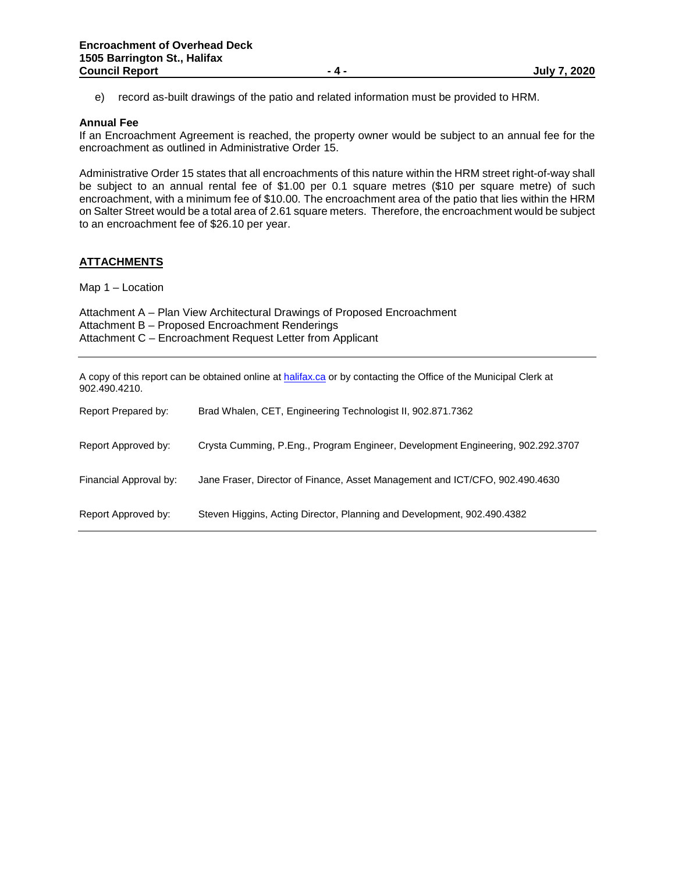e) record as-built drawings of the patio and related information must be provided to HRM.

#### **Annual Fee**

If an Encroachment Agreement is reached, the property owner would be subject to an annual fee for the encroachment as outlined in Administrative Order 15.

Administrative Order 15 states that all encroachments of this nature within the HRM street right-of-way shall be subject to an annual rental fee of \$1.00 per 0.1 square metres (\$10 per square metre) of such encroachment, with a minimum fee of \$10.00. The encroachment area of the patio that lies within the HRM on Salter Street would be a total area of 2.61 square meters. Therefore, the encroachment would be subject to an encroachment fee of \$26.10 per year.

#### **ATTACHMENTS**

Map 1 – Location

| Attachment A – Plan View Architectural Drawings of Proposed Encroachment |
|--------------------------------------------------------------------------|
| Attachment B - Proposed Encroachment Renderings                          |
| Attachment C – Encroachment Request Letter from Applicant                |

A copy of this report can be obtained online a[t halifax.ca](http://www.halifax.ca/) or by contacting the Office of the Municipal Clerk at 902.490.4210.

| Report Prepared by:    | Brad Whalen, CET, Engineering Technologist II, 902.871.7362                     |
|------------------------|---------------------------------------------------------------------------------|
| Report Approved by:    | Crysta Cumming, P.Eng., Program Engineer, Development Engineering, 902.292.3707 |
| Financial Approval by: | Jane Fraser, Director of Finance, Asset Management and ICT/CFO, 902.490.4630    |
| Report Approved by:    | Steven Higgins, Acting Director, Planning and Development, 902.490.4382         |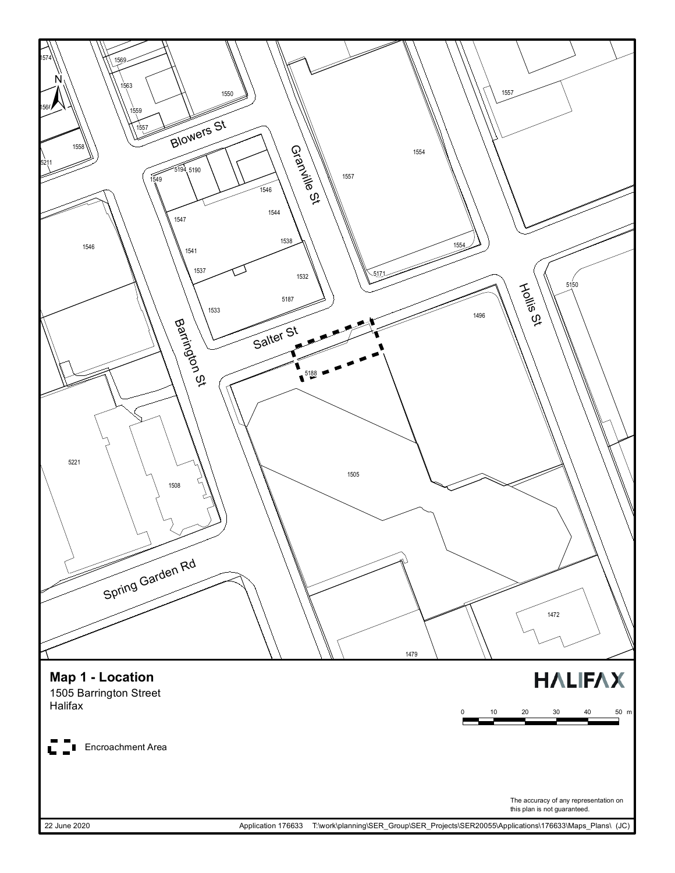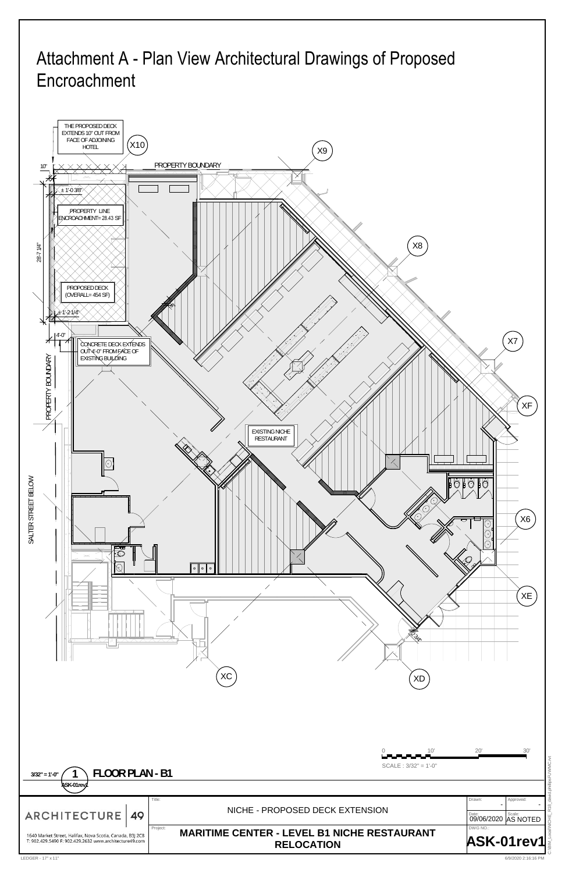C:\BIM\_Local\NICHE\_R18\_david.phillipsFUWMC.rvt

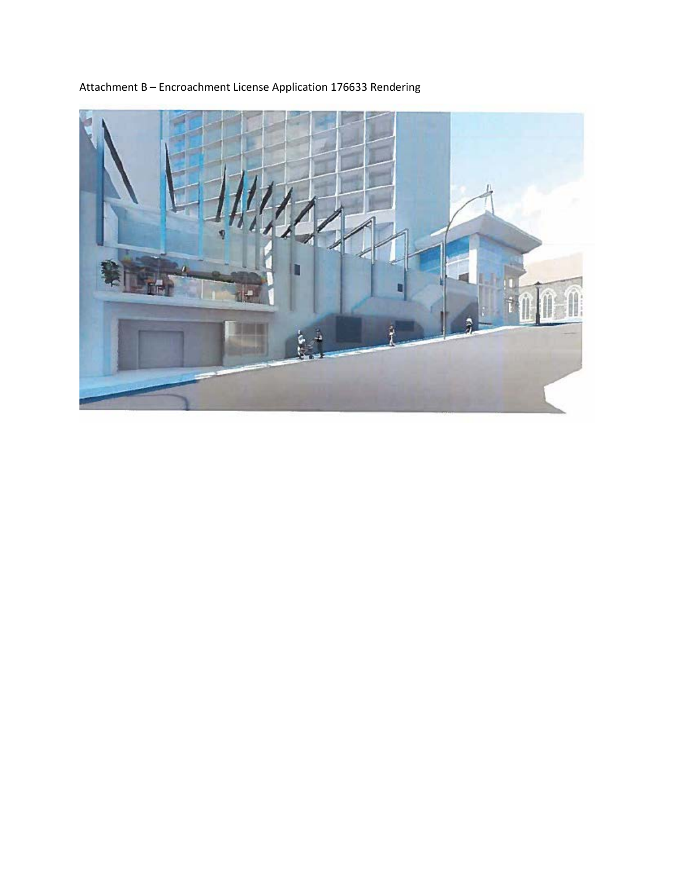

Attachment B – Encroachment License Application 176633 Rendering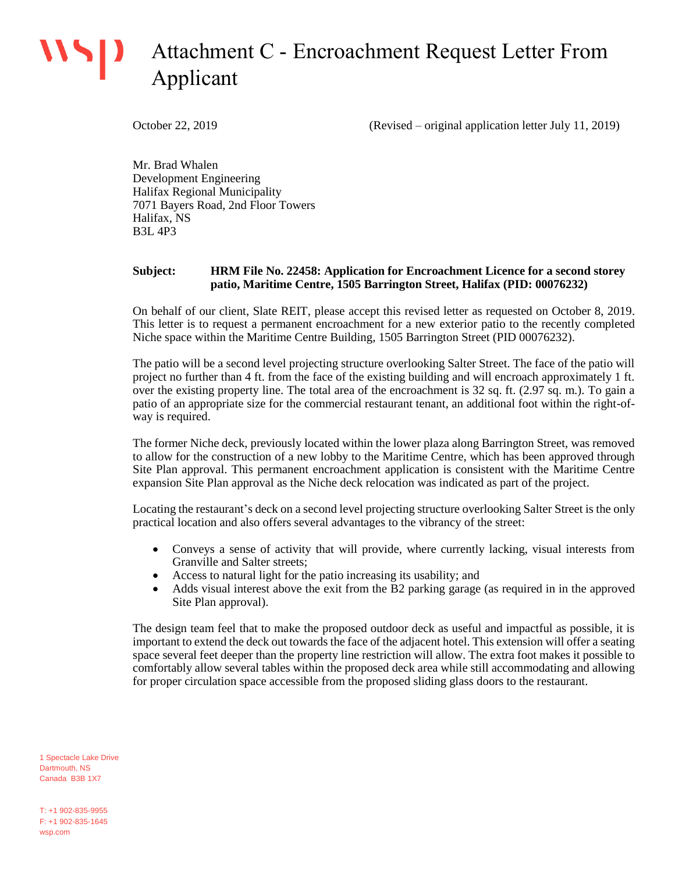# **WSD** Attachment C - Encroachment Request Letter From Applicant

October 22, 2019 (Revised – original application letter July 11, 2019)

Mr. Brad Whalen Development Engineering Halifax Regional Municipality 7071 Bayers Road, 2nd Floor Towers Halifax, NS B3L 4P3

#### **Subject: HRM File No. 22458: Application for Encroachment Licence for a second storey patio, Maritime Centre, 1505 Barrington Street, Halifax (PID: 00076232)**

On behalf of our client, Slate REIT, please accept this revised letter as requested on October 8, 2019. This letter is to request a permanent encroachment for a new exterior patio to the recently completed Niche space within the Maritime Centre Building, 1505 Barrington Street (PID 00076232).

The patio will be a second level projecting structure overlooking Salter Street. The face of the patio will project no further than 4 ft. from the face of the existing building and will encroach approximately 1 ft. over the existing property line. The total area of the encroachment is 32 sq. ft. (2.97 sq. m.). To gain a patio of an appropriate size for the commercial restaurant tenant, an additional foot within the right-ofway is required.

The former Niche deck, previously located within the lower plaza along Barrington Street, was removed to allow for the construction of a new lobby to the Maritime Centre, which has been approved through Site Plan approval. This permanent encroachment application is consistent with the Maritime Centre expansion Site Plan approval as the Niche deck relocation was indicated as part of the project.

Locating the restaurant's deck on a second level projecting structure overlooking Salter Street is the only practical location and also offers several advantages to the vibrancy of the street:

- Conveys a sense of activity that will provide, where currently lacking, visual interests from Granville and Salter streets;
- Access to natural light for the patio increasing its usability; and
- Adds visual interest above the exit from the B2 parking garage (as required in in the approved Site Plan approval).

The design team feel that to make the proposed outdoor deck as useful and impactful as possible, it is important to extend the deck out towards the face of the adjacent hotel. This extension will offer a seating space several feet deeper than the property line restriction will allow. The extra foot makes it possible to comfortably allow several tables within the proposed deck area while still accommodating and allowing for proper circulation space accessible from the proposed sliding glass doors to the restaurant.

1 Spectacle Lake Drive Dartmouth, NS Canada B3B 1X7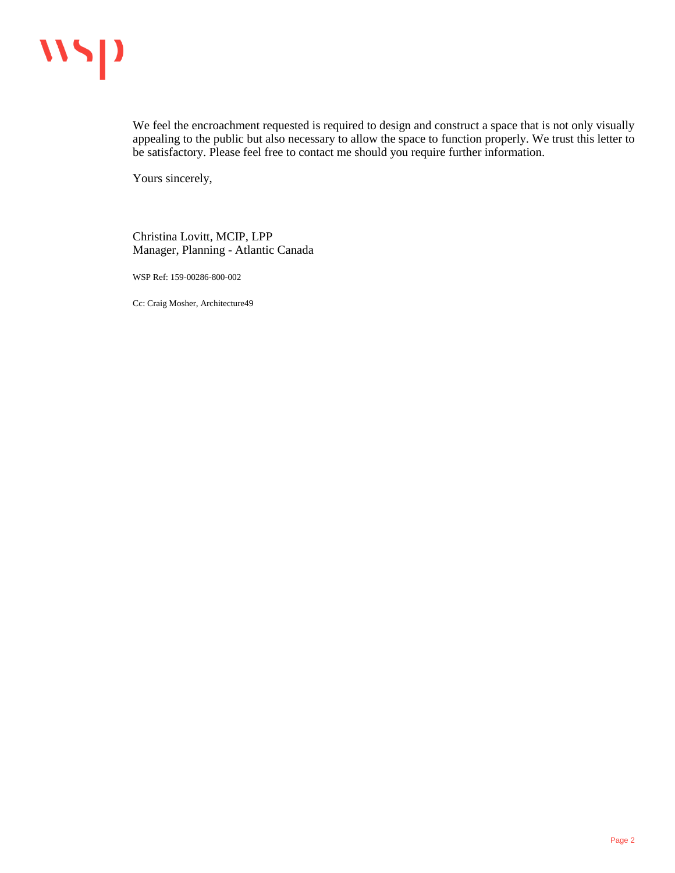

We feel the encroachment requested is required to design and construct a space that is not only visually appealing to the public but also necessary to allow the space to function properly. We trust this letter to be satisfactory. Please feel free to contact me should you require further information.

Yours sincerely,

Christina Lovitt, MCIP, LPP Manager, Planning - Atlantic Canada

WSP Ref: 159-00286-800-002

Cc: Craig Mosher, Architecture49